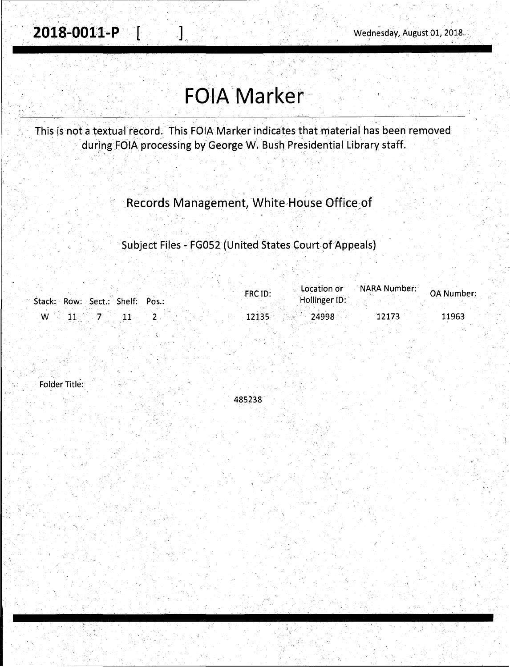# **FOIA Marker**

This is not a textual record. This FOIA Marker indicates that material has been removed during FOIA processing by George W. Bush Presidential Library staff.

# Records Management, White House Office of

### Subject Files - FG052 (United States Court of Appeals)

|                                                  | FRC ID: | Location or     | <b>Die der NARA Number: OA Number</b> |       |
|--------------------------------------------------|---------|-----------------|---------------------------------------|-------|
| Stack: Row: Sect.: Shelf: Pos.:                  |         | Hollinger ID:   |                                       |       |
| $\sim$ 00 $11$ , $\sim$ 7 $\sim$ 11 $\sim$<br>W. |         | $12135$ $24998$ | 12173                                 | 11963 |
|                                                  |         |                 |                                       |       |

Folder Title:

< 485238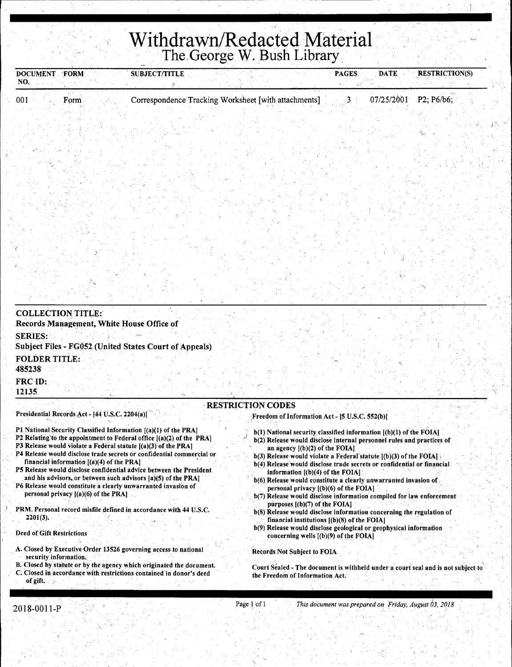# **Withdrawn/Redacted Material**  The. George W. Bush Library.

| <b>DOCUMENT FORM</b><br>NO.              |                                                | <b>SUBJECT/TITLE</b>                                                                                                                        |                                                                                                                                                                                     | <b>PAGES</b><br><b>DATE</b> | <b>RESTRICTION(S)</b>                                                            |
|------------------------------------------|------------------------------------------------|---------------------------------------------------------------------------------------------------------------------------------------------|-------------------------------------------------------------------------------------------------------------------------------------------------------------------------------------|-----------------------------|----------------------------------------------------------------------------------|
| 001                                      | Form                                           | Correspondence Tracking Worksheet [with attachments]                                                                                        |                                                                                                                                                                                     | 07/25/2001<br>∙3. ⊹         | P2; P6/b6;                                                                       |
|                                          |                                                |                                                                                                                                             |                                                                                                                                                                                     |                             |                                                                                  |
|                                          |                                                |                                                                                                                                             |                                                                                                                                                                                     |                             |                                                                                  |
|                                          |                                                |                                                                                                                                             |                                                                                                                                                                                     |                             |                                                                                  |
|                                          |                                                |                                                                                                                                             |                                                                                                                                                                                     |                             |                                                                                  |
|                                          |                                                |                                                                                                                                             |                                                                                                                                                                                     |                             |                                                                                  |
|                                          |                                                |                                                                                                                                             |                                                                                                                                                                                     |                             |                                                                                  |
|                                          |                                                |                                                                                                                                             |                                                                                                                                                                                     |                             |                                                                                  |
|                                          |                                                |                                                                                                                                             |                                                                                                                                                                                     |                             |                                                                                  |
|                                          |                                                |                                                                                                                                             |                                                                                                                                                                                     |                             |                                                                                  |
|                                          |                                                |                                                                                                                                             |                                                                                                                                                                                     |                             |                                                                                  |
|                                          |                                                |                                                                                                                                             |                                                                                                                                                                                     |                             |                                                                                  |
|                                          |                                                |                                                                                                                                             |                                                                                                                                                                                     |                             |                                                                                  |
|                                          | <b>COLLECTION TITLE:</b>                       | Records Management, White House Office of                                                                                                   |                                                                                                                                                                                     |                             |                                                                                  |
| <b>SERIES:</b>                           |                                                |                                                                                                                                             |                                                                                                                                                                                     |                             |                                                                                  |
| <b>FOLDER TITLE:</b>                     |                                                | Subject Files - FG052 (United States Court of Appeals)                                                                                      |                                                                                                                                                                                     |                             |                                                                                  |
| 485238                                   |                                                |                                                                                                                                             |                                                                                                                                                                                     |                             |                                                                                  |
| FRC-ID:<br>12135                         |                                                |                                                                                                                                             |                                                                                                                                                                                     |                             |                                                                                  |
|                                          |                                                |                                                                                                                                             | <b>RESTRICTION CODES</b>                                                                                                                                                            |                             |                                                                                  |
|                                          | Presidential Records Act - [44 U.S.C. 2204(a)] |                                                                                                                                             | Freedom of Information Act - [5 U.S.C. 552(b)]                                                                                                                                      |                             |                                                                                  |
|                                          |                                                | P1 National Security Classified Information [(a)(1) of the PRA]<br>P2 Relating to the appointment to Federal office [(a)(2) of the PRA]     | $b(1)$ National security classified information $[(b)(1)$ of the FOIA]<br>b(2) Release would disclose internal personnel rules and practices of                                     |                             |                                                                                  |
|                                          | financial information $[(a)(4)$ of the PRA]    | P3 Release would violate a Federal statute $[(a)(3)$ of the PRA]<br>P4 Release would disclose trade secrets or confidential commercial or   | an agency $[(b)(2)$ of the FOIA]<br>b(3) Release would violate a Federal statute [(b)(3) of the FOIA]                                                                               |                             |                                                                                  |
|                                          |                                                | P5 Release would disclose confidential advice between the President                                                                         | b(4) Release would disclose trade secrets or confidential or financial<br>information $[(b)(4)$ of the FOIA]                                                                        |                             |                                                                                  |
|                                          | personal privacy $[(a)(6)$ of the PRA]         | and his advisors, or between such advisors [a)(5) of the PRA]<br>P6 Release would constitute a clearly unwarranted invasion of              | b(6) Release would constitute a clearly unwarranted invasion of<br>personal privacy $[(b)(6)$ of the FOIA].<br>b(7) Release would disclose information compiled for law enforcement |                             |                                                                                  |
| 2201(3).                                 |                                                | PRM. Personal record misfile defined in accordance with 44 U.S.C.                                                                           | purposes $($ (b) $(7)$ of the FOIA $\}$<br>b(8) Release would disclose information concerning the regulation of<br>financial institutions $[(b)(8)$ of the FOIA]                    |                             |                                                                                  |
| <b>Deed of Gift Restrictions</b>         |                                                |                                                                                                                                             | b(9) Release would disclose geological or geophysical information<br>concerning wells $($ (b) $(9)$ of the FOIA]                                                                    |                             |                                                                                  |
|                                          |                                                | A. Closed by Executive Order 13526 governing access to national                                                                             | <b>Records Not Subject to FOIA</b>                                                                                                                                                  |                             |                                                                                  |
| security information.<br>of gift. $\sim$ | 지난 사람 나는 모습이 있다                                | B. Closed by statute or by the agency which originated the document.<br>C. Closed in accordance with restrictions contained in donor's deed | the Freedom of Information Act.                                                                                                                                                     |                             | Court Sealed - The document is withheld under a court seal and is not subject to |